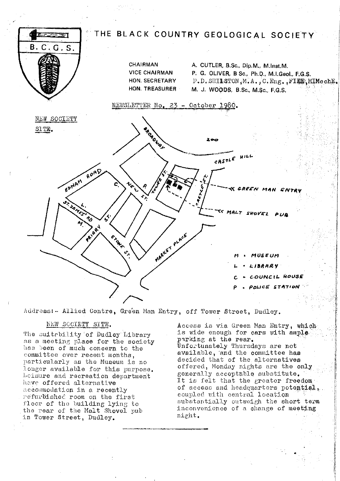

Address:- Allied Centre, Green Man Entry, off Tower Street, Dudley.

# NEW SOCIETY SITE.

The suitebility of Dudley Library as a meeting place for the society has been of much concern to the committee over recent months. particularly as the Museum is no longer available for this purpose. Leisure and recreation department have offered alternative accommodation in a recently refurbished room on the first floor of the building lying to the rear of the Malt Shovel pub in Tower Street, Dudley.

Access is via Green Man Entry, which is wide enough for cars with ample. parking at the rear. Unfortunately Thursdays are not available, and the committee has decided that of the alternatives offered, Monday nights are the only generally acceptable substitute. It is felt that the greater freedom of access and headquarters potential, coupled with central location substantially outweigh the short term inconvenience of a change of meeting night.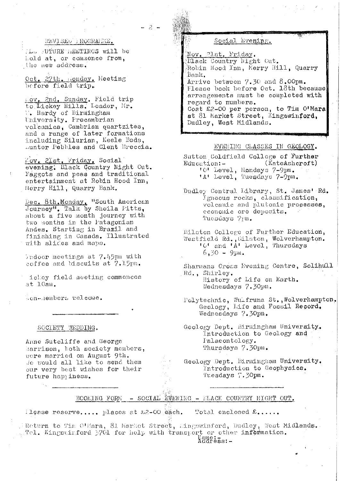# REVISED IROGRAMME.

 $-2 -$ 

(L. FOTURE MEETINGS will be held at, or commence from, the new address.

Oct. 27th. Honday. Meeting before field trip.

Lov, 2nd, Sunday, Field trip to Lickey Hills, Leader, Mr. W. Hardy of Birmingham University. Precambrian<br>volcanics, Cambrian quartzites, and a range of later formations including Silurian, Keele Beds, Dunter Pebbles and Clent Breecia.

Mov. 21st. Friday. Social evening. Black Country Night Out. Faggots and peas and traditional entertainment at Robin Hood Inn, Herry Hill, Quarry Bank.

Dec. 8th. Monday. "South American Journey", Talk by Sheila Fitts, about a five month journey with two months in the Fatagonian Andes. Starting in Brazil and finishing in Canada. Illustrated with slides and maps.

indoor meetings at 7.45pm with coffee and biscuits at 7.15pm.

ichey field meeting commences at 10am.

Con-members welcome.

SOCIETY WEDDING.

Anne Sutcliffe and George Harrison, both society members, wore married on August 9th. Je would all like to send them our very best wishes for their future happiness.

## Social Evening.

Nov. 21st. Friday. Elack Country Night Cut. Robin Hood Inn, Merry Hill, Quarry Bank. Arrive between 7.30 and 8.00pm.

Tlease book before Oct. 18th because arrangements must be completed with regard to numbers.

Cost £2-00 per person, to Tim O'Mara at 81 Market Street, Kingswinford, Dudley, West Midlands.

#### EVENING CLASSES IN GEOLOGY.

Sutton Coldfield College of Further  $(KateAehcroft)$ Education:-'0' Level, Mondays 7-9pm.<br>'A' Level, Tuesdays 7-9pm.

Dudley Central Library, St. James' Rd. Igneous rocks, classification, volcanic and plutonic processes. economic ore deposits. Tuesdays 7pm.

Eilston College of Further Education, Westfield Rd., Eilston, Wolverhampton. 'O' and 'A' Level, Thursdays  $6.30 - 9$ pm.

Sharmans Cross Evening Centre, Solihull Rd., Shirley. History of Life on Earth. Wednesdays 7.30pm.

Polytechnic, Wulfruna St., Wolverhampton, Geology, Life and Fossil Record. Wednesdays 7.30pm.

Geology Dept. Birmingham University. Introduction to Geology and Falaeontology. Thursdays 7.30pm.

Geology Dept. Birmingham University. Introduction to Geophysics. Tuesdays 7.30pm.

BOOKING FORM - SOCIAL EVENING - FLACK COUNTRY MIGHT OUT.

ilease reserve..... places at  $z=00$  each.

Total enclosed  $\mathcal{E}_+$ ....

Return to Tim O'Hara, 81 Market Street, Lingswinford, Dudley, West Midlands. Tel. Kingswirford 3701 for help with transport or other information. Aåd?;as:-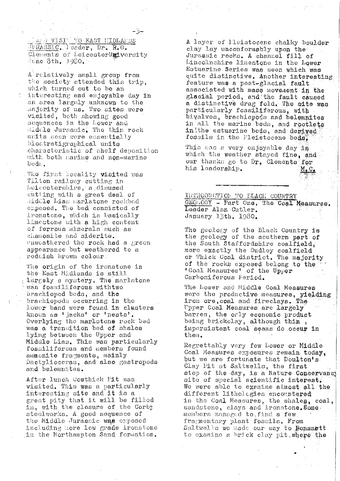IL DIVISIT TO EAST HIDLARDS JURASSIC. leader, Dr. R.G. Clements of LeicesterUmiversity June 8th, 1980.

A relatively small group from the society attended this trip. which turned out to be an interesting and enjoyable day in an area largely unknown to the majority of us. Two sites were visited, both showing good sequences in the Lower and diddle Jurassic. The thin rock units seen were essentially biostratigraphical units charactoristic of shelf deposition with both marine and non-marine bodi.

The first locality visited was Tilton railway cutting in Leicestershire, a disused cutting with a great deal of Middle Lias marlstone rockbod emposed. The bed consisted of ironstone, which is basically limestone with a high content of ferrous minerals such as chamosite and siderite. enwoathered the rock had a green appearance but weathered to a reddish brown colour.

The origin of the ironstone in the East Midlands is still Largely a mystery. The marlstone was fossiliferous withtwo brachiopod beds, and the brachiopods occurring in the lower band were found in clusters known as ' jacks' or 'nests'. Overlying the marlstone rock bed was a transition bed of shales lying between the Upper and Middle Lias. This was particularly fossiliferous and members found ammonite fragments, mainly Dactylioceras, and also gastropods and belemnites.

After lunch Cowthick Pit was visited. This was a particularly interesting site and it is a great pity that it will be filled in, with the closure of the Corby steclworks. A good sequence of the Middle Jurassic was exposed including nore low grade ironstone in the Northampton Sand formation.

A layer of Pleistocene chalky boulder clay lay unconformably upon the Jurassic rocks. A channel fill of Lincolnshire limestone in the Lower Estuarine Series was seen which was quite distinctive. Another interesting feature was a post-glacial fault associated with mass movement in the glacial period, and the fault caused a distinctive drag fold. The site was particularly fossiliferous, with bivalves, brachiopods and belemnites in all the marine beds, and rootlets in the estuarine beds, and derived fossils in the Pleistocene beds.

This was a very enjoyable day in which the weather stayed fine, and our thanks go to Dr. Clements for his leadership.  $M_{\bullet}$   $C_{\bullet}$ 

INTRODUCTION TO ELACK COUNTRY GEOGOGY - Part One, The Coal Measures. Leader Alan Cutler. January 13th. 1980.

The geology of the Black Country is the geology of the southern part of the South Staffordshire coalfield, more exactly the Dudley coalfield<br>or Thick Coal district. The majority of the rocks exposed belong to the 'Coal Measures' of the Upper Carboniferous Period.

The Lower and Middle Coal Measures were the productive measures, yielding<br>iron ore, coal and fireclays. The Upper Coal Measures are largely barren, the only economic product being brickclay, although thin, impersistant coal seams do occur in them.

Regrettably very few Lower or Middle Coal Measures exposures remain today, but we are fortunate that Doulton's Clay Pit at Saltwells, the first stop of the day, is a Nature Conservancy site of special scientific interest. We were able to exemine almost all the different Lithologies encountered in the Coal Measures, the shales, coal, sandstone, clays and ironstone. Some members managed to find a few fragmentary plant fossils. From Saltwells we made our way to Bensnett to examine a brick clay pit where the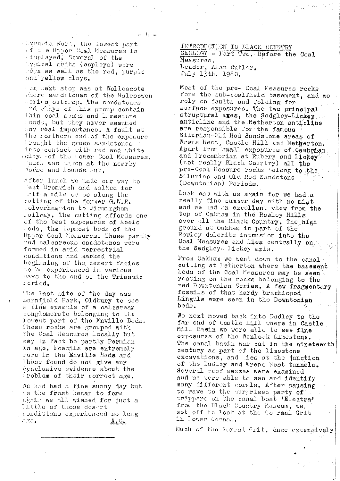Lururia Mart, the lowest part of the Upper Coal Measures is inglayed. Several of the typical grits (espleys) were reen as well as the red, purple and yellow clays.

Fur mext stop was at Wollescote where sandstones of the Halesowen Serios outcrop. The sandstones nd clays of this group contain thin coal spans and limestone ands, but they never assumed any real importance. A fault at the northern end of the exposure rought the green sandstones into contact with red and white elays of the bower Coal Measures. Sorse and Hounds Fub.

After lunch we made our way to West Bromwich and walked for half a mile or so along the cutting of the former G.W.R. .olverhampton to Birmingham rallway. The cutting affords one of the best esposures of Keele ieds, the topmost beds of the Upper Coal Measures. These partly red calcareous sandstones were formed in arid terrestrial conditions and marked the beginning of the desert facies to be experienced in various ways to the end of the Triassic leriod.

The last site of the day was barnfield Park, Oldbury to see a fine example of a calcarean conglomerate belonging to the lowest part of the Enville Beds. These rocks are grouped with the Coal Heasures locally but may in fact be partly Permian in age. Fossils are extremely rare in the Enville Beds and those found do not give any conclusive evidence about the problem of their correct age.

We had had a fine sunny day but as the frost began to form again we all wished for just a little of those desert conditions experienced so long  $\mathcal{L} \times \mathcal{L} \times \mathcal{L}$  $A \cdot C$ .

INTRODUCTION TO LLACK COUNTRY GECLOGY - Part Two. Before the Coal Measures. Leador, Alan Cutler. July 13th. 1980.

Most of the pre- Coal Measures rocks form the sub-coalfield basement, and we rely on faults and folding for surface exposures. The two principal structural axes, the Sedgley-Lickey anticline and the Netherton anticline are responsible for the famous Silurian-Old Red Sandstone areas of Wrens liest, Castle Hill and Netherton. Apart from small exposures of Cambrian<br>and Precambrian at Rubery and Lickey pre-Coal Measure rocks belong to the Silurian and Old Rod Sandstone (Downtonian) Periods.

Luck was with us again for we had a really fine summer day with no mist and we had an excellent view from the top of Oakham in the Rowley Hills over all the Black Country. The high ground at Oakham is part of the Rowley dolerite intrusion into the Coal Measures and lies centrally on the Sedgley- Lickey axis.

From Oakham we went down to the canal. cutting at l'etherton where the basement beds of the Coal Measures may be seen resting on the rocks belonging to the red Downtonian Series, A few fragmentary fossils of that hardy brachiopod Lingula were seen in the Downtonian beds.

We next moved back into Dudley to the far end of Castle Hill where in Castle Mill Basin we were able to see fine exposures of the Wenlock Limestone. The canal basin was cut in the nineteenth century as part of the limestone excavations, and lies at the junction of the Dudley and Wrens Nest tunnels. Several reef masses were examined and we were able to see and identify many different corals. After pausing to wave to the surprised party of trippers on the canal boat 'Electra' from the Elack Country Museum, we. set off to lock at the Go rmal Grit in Lower Gornal.

Much of the Correl Grit, once extensively